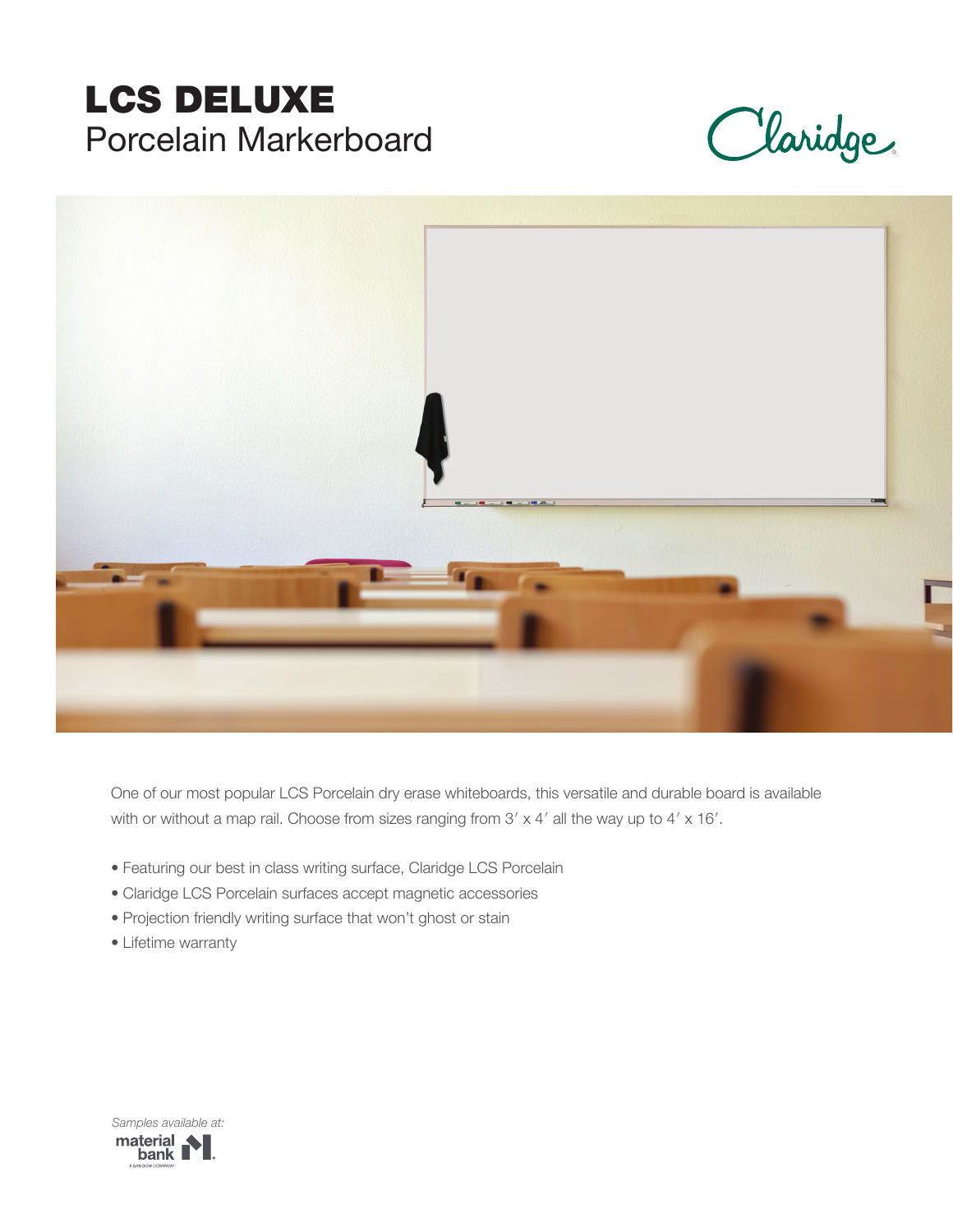# LCS DELUXE Porcelain Markerboard

Claridge



One of our most popular LCS Porcelain dry erase whiteboards, this versatile and durable board is available with or without a map rail. Choose from sizes ranging from 3' x 4' all the way up to 4' x 16'.

- Featuring our best in class writing surface, Claridge LCS Porcelain
- Claridge LCS Porcelain surfaces accept magnetic accessories
- Projection friendly writing surface that won't ghost or stain
- Lifetime warranty